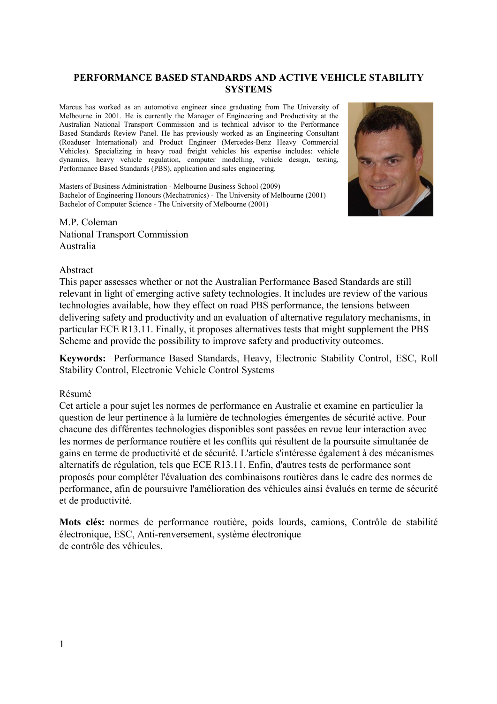## **PERFORMANCE BASED STANDARDS AND ACTIVE VEHICLE STABILITY SYSTEMS**

Marcus has worked as an automotive engineer since graduating from The University of Melbourne in 2001. He is currently the Manager of Engineering and Productivity at the Australian National Transport Commission and is technical advisor to the Performance Based Standards Review Panel. He has previously worked as an Engineering Consultant (Roaduser International) and Product Engineer (Mercedes-Benz Heavy Commercial Vehicles). Specializing in heavy road freight vehicles his expertise includes: vehicle dynamics, heavy vehicle regulation, computer modelling, vehicle design, testing, Performance Based Standards (PBS), application and sales engineering.

Masters of Business Administration - Melbourne Business School (2009) Bachelor of Engineering Honours (Mechatronics) - The University of Melbourne (2001) Bachelor of Computer Science - The University of Melbourne (2001)



M.P. Coleman National Transport Commission Australia

### Abstract

This paper assesses whether or not the Australian Performance Based Standards are still relevant in light of emerging active safety technologies. It includes are review of the various technologies available, how they effect on road PBS performance, the tensions between delivering safety and productivity and an evaluation of alternative regulatory mechanisms, in particular ECE R13.11. Finally, it proposes alternatives tests that might supplement the PBS Scheme and provide the possibility to improve safety and productivity outcomes.

**Keywords:** Performance Based Standards, Heavy, Electronic Stability Control, ESC, Roll Stability Control, Electronic Vehicle Control Systems

## Résumé

Cet article a pour sujet les normes de performance en Australie et examine en particulier la question de leur pertinence à la lumière de technologies émergentes de sécurité active. Pour chacune des différentes technologies disponibles sont passées en revue leur interaction avec les normes de performance routière et les conflits qui résultent de la poursuite simultanée de gains en terme de productivité et de sécurité. L'article s'intéresse également à des mécanismes alternatifs de régulation, tels que ECE R13.11. Enfin, d'autres tests de performance sont proposés pour compléter l'évaluation des combinaisons routières dans le cadre des normes de performance, afin de poursuivre l'amélioration des véhicules ainsi évalués en terme de sécurité et de productivité.

**Mots clés:** normes de performance routière, poids lourds, camions, Contrôle de stabilité électronique, ESC, Anti-renversement, système électronique de contrôle des véhicules.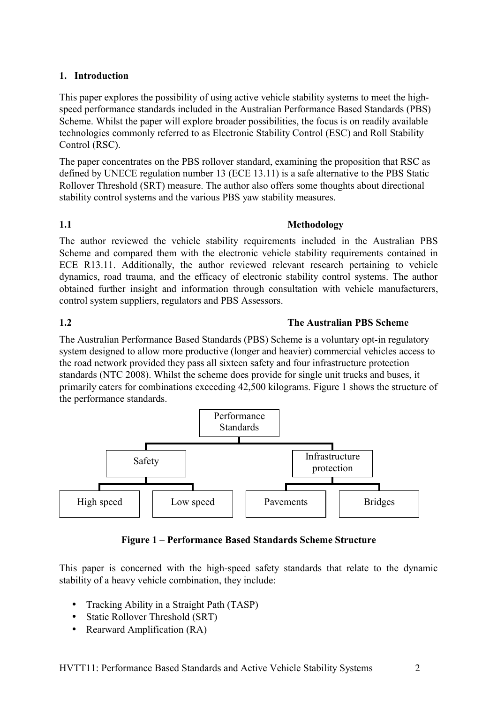# **1. Introduction**

This paper explores the possibility of using active vehicle stability systems to meet the highspeed performance standards included in the Australian Performance Based Standards (PBS) Scheme. Whilst the paper will explore broader possibilities, the focus is on readily available technologies commonly referred to as Electronic Stability Control (ESC) and Roll Stability Control (RSC).

The paper concentrates on the PBS rollover standard, examining the proposition that RSC as defined by UNECE regulation number 13 (ECE 13.11) is a safe alternative to the PBS Static Rollover Threshold (SRT) measure. The author also offers some thoughts about directional stability control systems and the various PBS yaw stability measures.

# **1.1 Methodology**

The author reviewed the vehicle stability requirements included in the Australian PBS Scheme and compared them with the electronic vehicle stability requirements contained in ECE R13.11. Additionally, the author reviewed relevant research pertaining to vehicle dynamics, road trauma, and the efficacy of electronic stability control systems. The author obtained further insight and information through consultation with vehicle manufacturers, control system suppliers, regulators and PBS Assessors.

# **1.2 The Australian PBS Scheme**

The Australian Performance Based Standards (PBS) Scheme is a voluntary opt-in regulatory system designed to allow more productive (longer and heavier) commercial vehicles access to the road network provided they pass all sixteen safety and four infrastructure protection standards (NTC 2008). Whilst the scheme does provide for single unit trucks and buses, it primarily caters for combinations exceeding 42,500 kilograms. Figure 1 shows the structure of the performance standards.



**Figure 1 – Performance Based Standards Scheme Structure**

This paper is concerned with the high-speed safety standards that relate to the dynamic stability of a heavy vehicle combination, they include:

- Tracking Ability in a Straight Path (TASP)
- Static Rollover Threshold (SRT)
- Rearward Amplification (RA)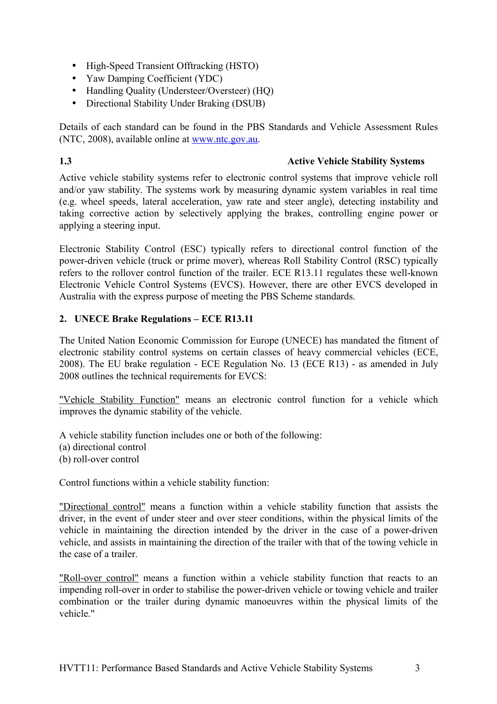- High-Speed Transient Offtracking (HSTO)
- Yaw Damping Coefficient (YDC)
- Handling Quality (Understeer/Oversteer) (HQ)
- Directional Stability Under Braking (DSUB)

Details of each standard can be found in the PBS Standards and Vehicle Assessment Rules (NTC, 2008), available online at [www.ntc.gov.au.](http://www.ntc.gov.au/)

## **1.3 Active Vehicle Stability Systems**

Active vehicle stability systems refer to electronic control systems that improve vehicle roll and/or yaw stability. The systems work by measuring dynamic system variables in real time (e.g. wheel speeds, lateral acceleration, yaw rate and steer angle), detecting instability and taking corrective action by selectively applying the brakes, controlling engine power or applying a steering input.

Electronic Stability Control (ESC) typically refers to directional control function of the power-driven vehicle (truck or prime mover), whereas Roll Stability Control (RSC) typically refers to the rollover control function of the trailer. ECE R13.11 regulates these well-known Electronic Vehicle Control Systems (EVCS). However, there are other EVCS developed in Australia with the express purpose of meeting the PBS Scheme standards.

# **2. UNECE Brake Regulations – ECE R13.11**

The United Nation Economic Commission for Europe (UNECE) has mandated the fitment of electronic stability control systems on certain classes of heavy commercial vehicles (ECE, 2008). The EU brake regulation - ECE Regulation No. 13 (ECE R13) - as amended in July 2008 outlines the technical requirements for EVCS:

"Vehicle Stability Function" means an electronic control function for a vehicle which improves the dynamic stability of the vehicle.

A vehicle stability function includes one or both of the following: (a) directional control (b) roll-over control

Control functions within a vehicle stability function:

"Directional control" means a function within a vehicle stability function that assists the driver, in the event of under steer and over steer conditions, within the physical limits of the vehicle in maintaining the direction intended by the driver in the case of a power-driven vehicle, and assists in maintaining the direction of the trailer with that of the towing vehicle in the case of a trailer.

"Roll-over control" means a function within a vehicle stability function that reacts to an impending roll-over in order to stabilise the power-driven vehicle or towing vehicle and trailer combination or the trailer during dynamic manoeuvres within the physical limits of the vehicle."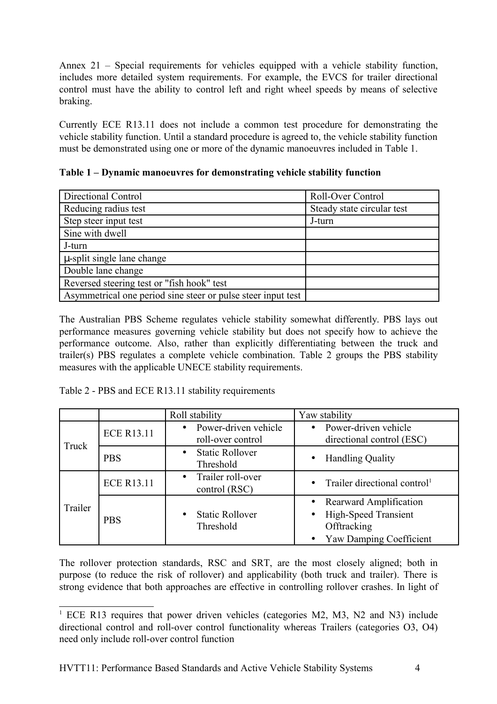Annex 21 – Special requirements for vehicles equipped with a vehicle stability function, includes more detailed system requirements. For example, the EVCS for trailer directional control must have the ability to control left and right wheel speeds by means of selective braking.

Currently ECE R13.11 does not include a common test procedure for demonstrating the vehicle stability function. Until a standard procedure is agreed to, the vehicle stability function must be demonstrated using one or more of the dynamic manoeuvres included in Table 1.

**Table 1 – Dynamic manoeuvres for demonstrating vehicle stability function**

| Directional Control                                          | <b>Roll-Over Control</b>   |  |
|--------------------------------------------------------------|----------------------------|--|
| Reducing radius test                                         | Steady state circular test |  |
| Step steer input test                                        | J-turn                     |  |
| Sine with dwell                                              |                            |  |
| J-turn                                                       |                            |  |
| u-split single lane change                                   |                            |  |
| Double lane change                                           |                            |  |
| Reversed steering test or "fish hook" test                   |                            |  |
| Asymmetrical one period sine steer or pulse steer input test |                            |  |

The Australian PBS Scheme regulates vehicle stability somewhat differently. PBS lays out performance measures governing vehicle stability but does not specify how to achieve the performance outcome. Also, rather than explicitly differentiating between the truck and trailer(s) PBS regulates a complete vehicle combination. Table 2 groups the PBS stability measures with the applicable UNECE stability requirements.

Table 2 - PBS and ECE R13.11 stability requirements

|         |                   | Roll stability                                         | Yaw stability                                                                                                                    |
|---------|-------------------|--------------------------------------------------------|----------------------------------------------------------------------------------------------------------------------------------|
| Truck   | <b>ECE R13.11</b> | Power-driven vehicle<br>$\bullet$<br>roll-over control | • Power-driven vehicle<br>directional control (ESC)                                                                              |
|         | <b>PBS</b>        | <b>Static Rollover</b><br>$\bullet$<br>Threshold       | <b>Handling Quality</b><br>$\bullet$                                                                                             |
| Trailer | <b>ECE R13.11</b> | Trailer roll-over<br>$\bullet$<br>control (RSC)        | Trailer directional control <sup>1</sup><br>$\bullet$                                                                            |
|         | <b>PBS</b>        | <b>Static Rollover</b><br>$\bullet$<br>Threshold       | <b>Rearward Amplification</b><br><b>High-Speed Transient</b><br>$\bullet$<br>Offtracking<br>Yaw Damping Coefficient<br>$\bullet$ |

The rollover protection standards, RSC and SRT, are the most closely aligned; both in purpose (to reduce the risk of rollover) and applicability (both truck and trailer). There is strong evidence that both approaches are effective in controlling rollover crashes. In light of

<span id="page-3-0"></span><sup>&</sup>lt;sup>1</sup> ECE R13 requires that power driven vehicles (categories M2, M3, N2 and N3) include directional control and roll-over control functionality whereas Trailers (categories O3, O4) need only include roll-over control function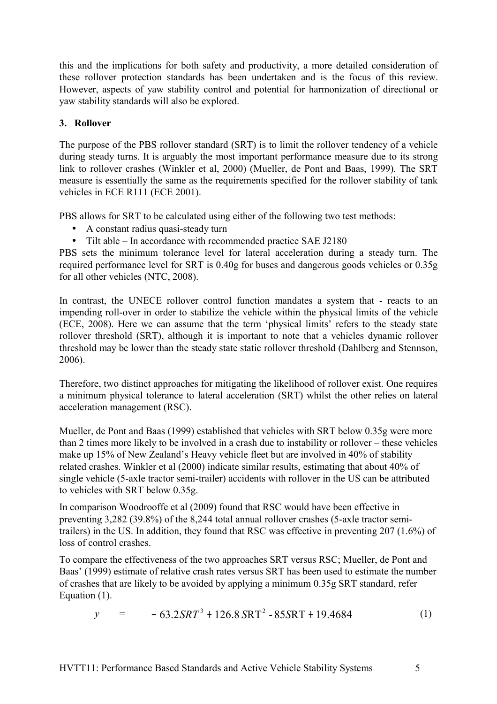this and the implications for both safety and productivity, a more detailed consideration of these rollover protection standards has been undertaken and is the focus of this review. However, aspects of yaw stability control and potential for harmonization of directional or yaw stability standards will also be explored.

# **3. Rollover**

The purpose of the PBS rollover standard (SRT) is to limit the rollover tendency of a vehicle during steady turns. It is arguably the most important performance measure due to its strong link to rollover crashes (Winkler et al, 2000) (Mueller, de Pont and Baas, 1999). The SRT measure is essentially the same as the requirements specified for the rollover stability of tank vehicles in ECE R111 (ECE 2001).

PBS allows for SRT to be calculated using either of the following two test methods:

- A constant radius quasi-steady turn
- Tilt able In accordance with recommended practice SAE J2180

PBS sets the minimum tolerance level for lateral acceleration during a steady turn. The required performance level for SRT is 0.40g for buses and dangerous goods vehicles or 0.35g for all other vehicles (NTC, 2008).

In contrast, the UNECE rollover control function mandates a system that - reacts to an impending roll-over in order to stabilize the vehicle within the physical limits of the vehicle (ECE, 2008). Here we can assume that the term 'physical limits' refers to the steady state rollover threshold (SRT), although it is important to note that a vehicles dynamic rollover threshold may be lower than the steady state static rollover threshold (Dahlberg and Stennson, 2006).

Therefore, two distinct approaches for mitigating the likelihood of rollover exist. One requires a minimum physical tolerance to lateral acceleration (SRT) whilst the other relies on lateral acceleration management (RSC).

Mueller, de Pont and Baas (1999) established that vehicles with SRT below 0.35g were more than 2 times more likely to be involved in a crash due to instability or rollover – these vehicles make up 15% of New Zealand's Heavy vehicle fleet but are involved in 40% of stability related crashes. Winkler et al (2000) indicate similar results, estimating that about 40% of single vehicle (5-axle tractor semi-trailer) accidents with rollover in the US can be attributed to vehicles with SRT below 0.35g.

In comparison Woodrooffe et al (2009) found that RSC would have been effective in preventing 3,282 (39.8%) of the 8,244 total annual rollover crashes (5-axle tractor semitrailers) in the US. In addition, they found that RSC was effective in preventing 207 (1.6%) of loss of control crashes.

To compare the effectiveness of the two approaches SRT versus RSC; Mueller, de Pont and Baas' (1999) estimate of relative crash rates versus SRT has been used to estimate the number of crashes that are likely to be avoided by applying a minimum 0.35g SRT standard, refer Equation (1).

$$
y = -63.2SRT3 + 126.8SRT2 - 85SRT + 19.4684
$$
 (1)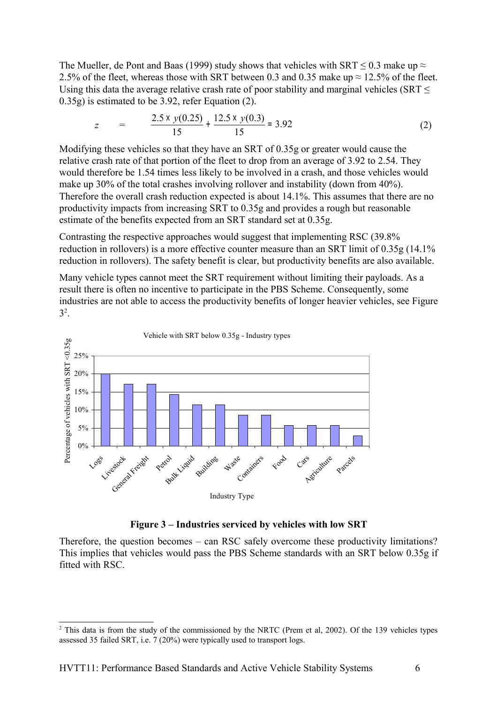The Mueller, de Pont and Baas (1999) study shows that vehicles with SRT  $\leq$  0.3 make up  $\approx$ 2.5% of the fleet, whereas those with SRT between 0.3 and 0.35 make up  $\approx$  12.5% of the fleet. Using this data the average relative crash rate of poor stability and marginal vehicles ( $SRT \leq$ 0.35g) is estimated to be 3.92, refer Equation (2).

$$
z = \frac{2.5 \times y(0.25)}{15} + \frac{12.5 \times y(0.3)}{15} = 3.92
$$
 (2)

Modifying these vehicles so that they have an SRT of 0.35g or greater would cause the relative crash rate of that portion of the fleet to drop from an average of 3.92 to 2.54. They would therefore be 1.54 times less likely to be involved in a crash, and those vehicles would make up 30% of the total crashes involving rollover and instability (down from 40%). Therefore the overall crash reduction expected is about 14.1%. This assumes that there are no productivity impacts from increasing SRT to 0.35g and provides a rough but reasonable estimate of the benefits expected from an SRT standard set at 0.35g.

Contrasting the respective approaches would suggest that implementing RSC (39.8% reduction in rollovers) is a more effective counter measure than an SRT limit of 0.35g (14.1% reduction in rollovers). The safety benefit is clear, but productivity benefits are also available.

Many vehicle types cannot meet the SRT requirement without limiting their payloads. As a result there is often no incentive to participate in the PBS Scheme. Consequently, some industries are not able to access the productivity benefits of longer heavier vehicles, see Figure  $3^2$  $3^2$ .



## **Figure 3 – Industries serviced by vehicles with low SRT**

Therefore, the question becomes – can RSC safely overcome these productivity limitations? This implies that vehicles would pass the PBS Scheme standards with an SRT below 0.35g if fitted with RSC.

<span id="page-5-0"></span><sup>&</sup>lt;sup>2</sup> This data is from the study of the commissioned by the NRTC (Prem et al, 2002). Of the 139 vehicles types assessed 35 failed SRT, i.e. 7 (20%) were typically used to transport logs.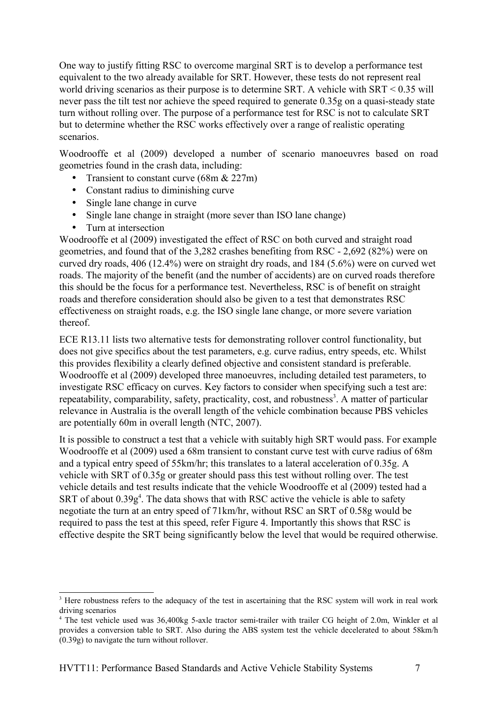One way to justify fitting RSC to overcome marginal SRT is to develop a performance test equivalent to the two already available for SRT. However, these tests do not represent real world driving scenarios as their purpose is to determine SRT. A vehicle with SRT < 0.35 will never pass the tilt test nor achieve the speed required to generate 0.35g on a quasi-steady state turn without rolling over. The purpose of a performance test for RSC is not to calculate SRT but to determine whether the RSC works effectively over a range of realistic operating scenarios.

Woodrooffe et al (2009) developed a number of scenario manoeuvres based on road geometries found in the crash data, including:

- Transient to constant curve  $(68m \& 227m)$
- Constant radius to diminishing curve
- Single lane change in curve
- Single lane change in straight (more sever than ISO lane change)
- Turn at intersection

Woodrooffe et al (2009) investigated the effect of RSC on both curved and straight road geometries, and found that of the 3,282 crashes benefiting from RSC - 2,692 (82%) were on curved dry roads, 406 (12.4%) were on straight dry roads, and 184 (5.6%) were on curved wet roads. The majority of the benefit (and the number of accidents) are on curved roads therefore this should be the focus for a performance test. Nevertheless, RSC is of benefit on straight roads and therefore consideration should also be given to a test that demonstrates RSC effectiveness on straight roads, e.g. the ISO single lane change, or more severe variation thereof.

ECE R13.11 lists two alternative tests for demonstrating rollover control functionality, but does not give specifics about the test parameters, e.g. curve radius, entry speeds, etc. Whilst this provides flexibility a clearly defined objective and consistent standard is preferable. Woodrooffe et al (2009) developed three manoeuvres, including detailed test parameters, to investigate RSC efficacy on curves. Key factors to consider when specifying such a test are: repeatability, comparability, safety, practicality, cost, and robustness<sup>[3](#page-6-0)</sup>. A matter of particular relevance in Australia is the overall length of the vehicle combination because PBS vehicles are potentially 60m in overall length (NTC, 2007).

It is possible to construct a test that a vehicle with suitably high SRT would pass. For example Woodrooffe et al (2009) used a 68m transient to constant curve test with curve radius of 68m and a typical entry speed of 55km/hr; this translates to a lateral acceleration of 0.35g. A vehicle with SRT of 0.35g or greater should pass this test without rolling over. The test vehicle details and test results indicate that the vehicle Woodrooffe et al (2009) tested had a SRT of about  $0.39g<sup>4</sup>$  $0.39g<sup>4</sup>$  $0.39g<sup>4</sup>$ . The data shows that with RSC active the vehicle is able to safety negotiate the turn at an entry speed of 71km/hr, without RSC an SRT of 0.58g would be required to pass the test at this speed, refer Figure 4. Importantly this shows that RSC is effective despite the SRT being significantly below the level that would be required otherwise.

<span id="page-6-0"></span><sup>&</sup>lt;sup>3</sup> Here robustness refers to the adequacy of the test in ascertaining that the RSC system will work in real work driving scenarios

<span id="page-6-1"></span><sup>4</sup> The test vehicle used was 36,400kg 5-axle tractor semi-trailer with trailer CG height of 2.0m, Winkler et al provides a conversion table to SRT. Also during the ABS system test the vehicle decelerated to about 58km/h (0.39g) to navigate the turn without rollover.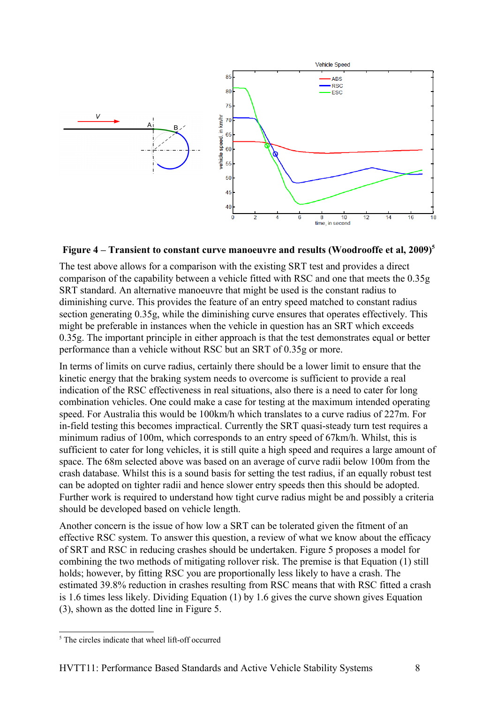

## **Figure 4 – Transient to constant curve manoeuvre and results (Woodrooffe et al, 2009)[5](#page-7-0)**

The test above allows for a comparison with the existing SRT test and provides a direct comparison of the capability between a vehicle fitted with RSC and one that meets the 0.35g SRT standard. An alternative manoeuvre that might be used is the constant radius to diminishing curve. This provides the feature of an entry speed matched to constant radius section generating 0.35g, while the diminishing curve ensures that operates effectively. This might be preferable in instances when the vehicle in question has an SRT which exceeds 0.35g. The important principle in either approach is that the test demonstrates equal or better performance than a vehicle without RSC but an SRT of 0.35g or more.

In terms of limits on curve radius, certainly there should be a lower limit to ensure that the kinetic energy that the braking system needs to overcome is sufficient to provide a real indication of the RSC effectiveness in real situations, also there is a need to cater for long combination vehicles. One could make a case for testing at the maximum intended operating speed. For Australia this would be 100km/h which translates to a curve radius of 227m. For in-field testing this becomes impractical. Currently the SRT quasi-steady turn test requires a minimum radius of 100m, which corresponds to an entry speed of 67km/h. Whilst, this is sufficient to cater for long vehicles, it is still quite a high speed and requires a large amount of space. The 68m selected above was based on an average of curve radii below 100m from the crash database. Whilst this is a sound basis for setting the test radius, if an equally robust test can be adopted on tighter radii and hence slower entry speeds then this should be adopted. Further work is required to understand how tight curve radius might be and possibly a criteria should be developed based on vehicle length.

Another concern is the issue of how low a SRT can be tolerated given the fitment of an effective RSC system. To answer this question, a review of what we know about the efficacy of SRT and RSC in reducing crashes should be undertaken. Figure 5 proposes a model for combining the two methods of mitigating rollover risk. The premise is that Equation (1) still holds; however, by fitting RSC you are proportionally less likely to have a crash. The estimated 39.8% reduction in crashes resulting from RSC means that with RSC fitted a crash is 1.6 times less likely. Dividing Equation (1) by 1.6 gives the curve shown gives Equation (3), shown as the dotted line in Figure 5.

<span id="page-7-0"></span><sup>&</sup>lt;sup>5</sup> The circles indicate that wheel lift-off occurred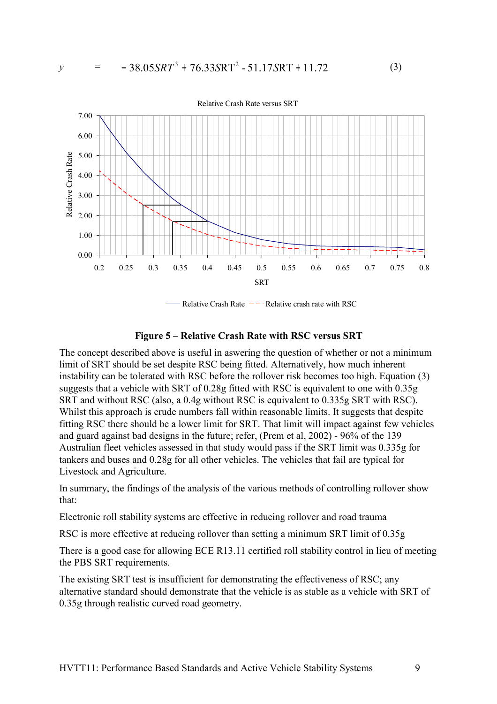

Relative Crash Rate  $-$  - Relative crash rate with RSC

## **Figure 5 – Relative Crash Rate with RSC versus SRT**

The concept described above is useful in aswering the question of whether or not a minimum limit of SRT should be set despite RSC being fitted. Alternatively, how much inherent instability can be tolerated with RSC before the rollover risk becomes too high. Equation (3) suggests that a vehicle with SRT of 0.28g fitted with RSC is equivalent to one with 0.35g SRT and without RSC (also, a 0.4g without RSC is equivalent to 0.335g SRT with RSC). Whilst this approach is crude numbers fall within reasonable limits. It suggests that despite fitting RSC there should be a lower limit for SRT. That limit will impact against few vehicles and guard against bad designs in the future; refer, (Prem et al, 2002) - 96% of the 139 Australian fleet vehicles assessed in that study would pass if the SRT limit was 0.335g for tankers and buses and 0.28g for all other vehicles. The vehicles that fail are typical for Livestock and Agriculture.

In summary, the findings of the analysis of the various methods of controlling rollover show that:

Electronic roll stability systems are effective in reducing rollover and road trauma

RSC is more effective at reducing rollover than setting a minimum SRT limit of 0.35g

There is a good case for allowing ECE R13.11 certified roll stability control in lieu of meeting the PBS SRT requirements.

The existing SRT test is insufficient for demonstrating the effectiveness of RSC; any alternative standard should demonstrate that the vehicle is as stable as a vehicle with SRT of 0.35g through realistic curved road geometry.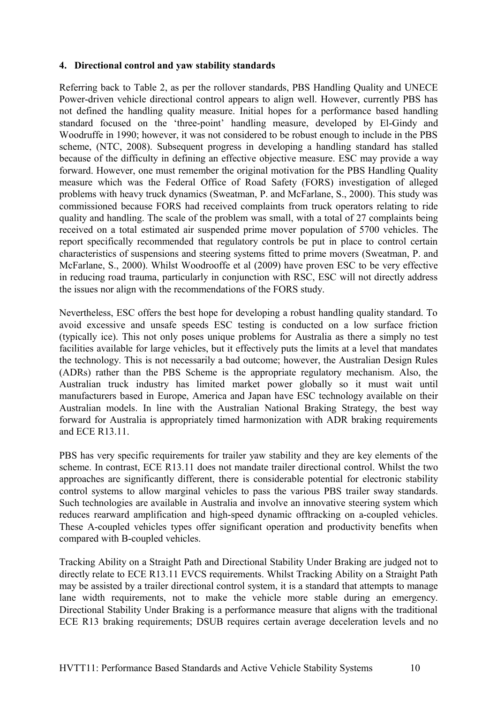## **4. Directional control and yaw stability standards**

Referring back to Table 2, as per the rollover standards, PBS Handling Quality and UNECE Power-driven vehicle directional control appears to align well. However, currently PBS has not defined the handling quality measure. Initial hopes for a performance based handling standard focused on the 'three-point' handling measure, developed by El-Gindy and Woodruffe in 1990; however, it was not considered to be robust enough to include in the PBS scheme, (NTC, 2008). Subsequent progress in developing a handling standard has stalled because of the difficulty in defining an effective objective measure. ESC may provide a way forward. However, one must remember the original motivation for the PBS Handling Quality measure which was the Federal Office of Road Safety (FORS) investigation of alleged problems with heavy truck dynamics (Sweatman, P. and McFarlane, S., 2000). This study was commissioned because FORS had received complaints from truck operators relating to ride quality and handling. The scale of the problem was small, with a total of 27 complaints being received on a total estimated air suspended prime mover population of 5700 vehicles. The report specifically recommended that regulatory controls be put in place to control certain characteristics of suspensions and steering systems fitted to prime movers (Sweatman, P. and McFarlane, S., 2000). Whilst Woodrooffe et al (2009) have proven ESC to be very effective in reducing road trauma, particularly in conjunction with RSC, ESC will not directly address the issues nor align with the recommendations of the FORS study.

Nevertheless, ESC offers the best hope for developing a robust handling quality standard. To avoid excessive and unsafe speeds ESC testing is conducted on a low surface friction (typically ice). This not only poses unique problems for Australia as there a simply no test facilities available for large vehicles, but it effectively puts the limits at a level that mandates the technology. This is not necessarily a bad outcome; however, the Australian Design Rules (ADRs) rather than the PBS Scheme is the appropriate regulatory mechanism. Also, the Australian truck industry has limited market power globally so it must wait until manufacturers based in Europe, America and Japan have ESC technology available on their Australian models. In line with the Australian National Braking Strategy, the best way forward for Australia is appropriately timed harmonization with ADR braking requirements and ECE R13.11.

PBS has very specific requirements for trailer yaw stability and they are key elements of the scheme. In contrast, ECE R13.11 does not mandate trailer directional control. Whilst the two approaches are significantly different, there is considerable potential for electronic stability control systems to allow marginal vehicles to pass the various PBS trailer sway standards. Such technologies are available in Australia and involve an innovative steering system which reduces rearward amplification and high-speed dynamic offtracking on a-coupled vehicles. These A-coupled vehicles types offer significant operation and productivity benefits when compared with B-coupled vehicles.

Tracking Ability on a Straight Path and Directional Stability Under Braking are judged not to directly relate to ECE R13.11 EVCS requirements. Whilst Tracking Ability on a Straight Path may be assisted by a trailer directional control system, it is a standard that attempts to manage lane width requirements, not to make the vehicle more stable during an emergency. Directional Stability Under Braking is a performance measure that aligns with the traditional ECE R13 braking requirements; DSUB requires certain average deceleration levels and no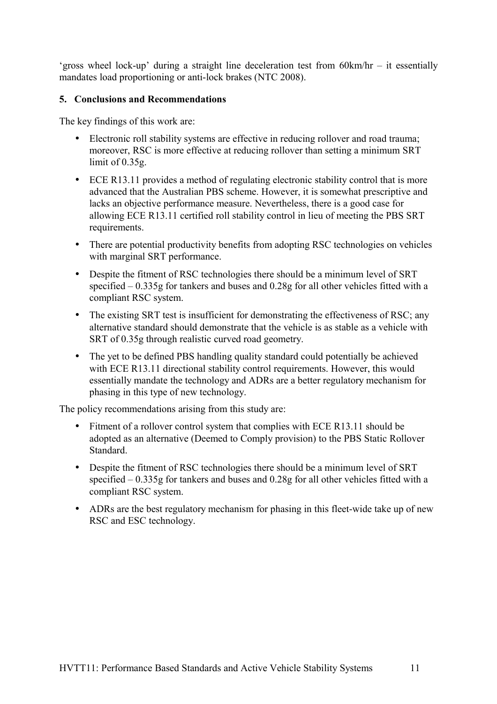'gross wheel lock-up' during a straight line deceleration test from 60km/hr – it essentially mandates load proportioning or anti-lock brakes (NTC 2008).

# **5. Conclusions and Recommendations**

The key findings of this work are:

- Electronic roll stability systems are effective in reducing rollover and road trauma; moreover, RSC is more effective at reducing rollover than setting a minimum SRT limit of 0.35g.
- ECE R13.11 provides a method of regulating electronic stability control that is more advanced that the Australian PBS scheme. However, it is somewhat prescriptive and lacks an objective performance measure. Nevertheless, there is a good case for allowing ECE R13.11 certified roll stability control in lieu of meeting the PBS SRT requirements.
- There are potential productivity benefits from adopting RSC technologies on vehicles with marginal SRT performance.
- Despite the fitment of RSC technologies there should be a minimum level of SRT specified – 0.335g for tankers and buses and 0.28g for all other vehicles fitted with a compliant RSC system.
- The existing SRT test is insufficient for demonstrating the effectiveness of RSC; any alternative standard should demonstrate that the vehicle is as stable as a vehicle with SRT of 0.35g through realistic curved road geometry.
- The yet to be defined PBS handling quality standard could potentially be achieved with ECE R13.11 directional stability control requirements. However, this would essentially mandate the technology and ADRs are a better regulatory mechanism for phasing in this type of new technology.

The policy recommendations arising from this study are:

- Fitment of a rollover control system that complies with ECE R13.11 should be adopted as an alternative (Deemed to Comply provision) to the PBS Static Rollover Standard.
- Despite the fitment of RSC technologies there should be a minimum level of SRT specified – 0.335g for tankers and buses and 0.28g for all other vehicles fitted with a compliant RSC system.
- ADRs are the best regulatory mechanism for phasing in this fleet-wide take up of new RSC and ESC technology.